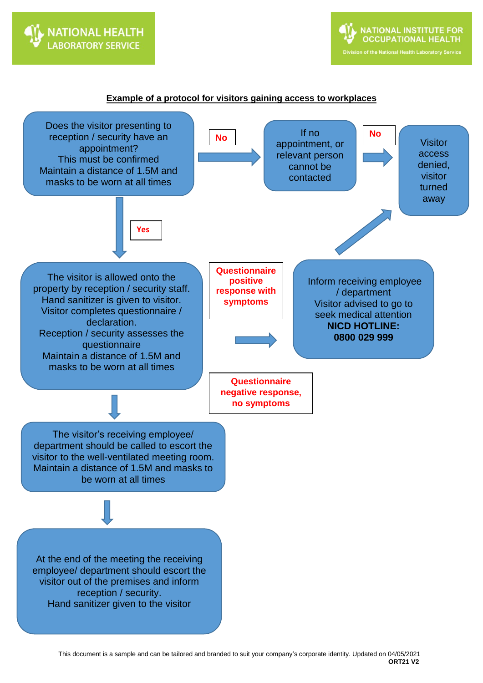

## **Example of a protocol for visitors gaining access to workplaces**

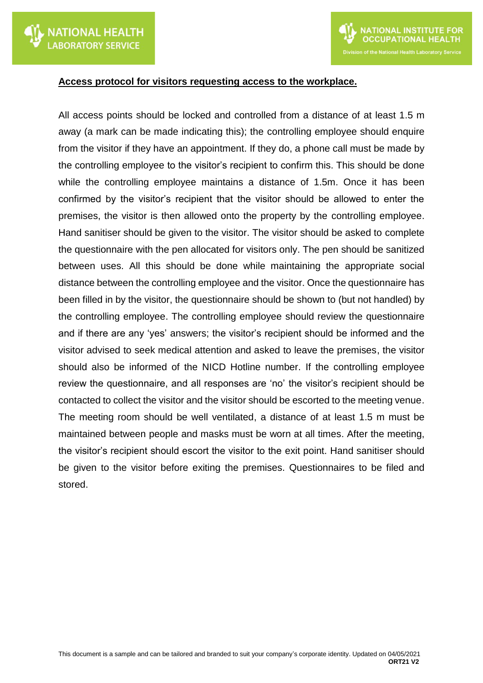

## **Access protocol for visitors requesting access to the workplace.**

All access points should be locked and controlled from a distance of at least 1.5 m away (a mark can be made indicating this); the controlling employee should enquire from the visitor if they have an appointment. If they do, a phone call must be made by the controlling employee to the visitor's recipient to confirm this. This should be done while the controlling employee maintains a distance of 1.5m. Once it has been confirmed by the visitor's recipient that the visitor should be allowed to enter the premises, the visitor is then allowed onto the property by the controlling employee. Hand sanitiser should be given to the visitor. The visitor should be asked to complete the questionnaire with the pen allocated for visitors only. The pen should be sanitized between uses. All this should be done while maintaining the appropriate social distance between the controlling employee and the visitor. Once the questionnaire has been filled in by the visitor, the questionnaire should be shown to (but not handled) by the controlling employee. The controlling employee should review the questionnaire and if there are any 'yes' answers; the visitor's recipient should be informed and the visitor advised to seek medical attention and asked to leave the premises, the visitor should also be informed of the NICD Hotline number. If the controlling employee review the questionnaire, and all responses are 'no' the visitor's recipient should be contacted to collect the visitor and the visitor should be escorted to the meeting venue. The meeting room should be well ventilated, a distance of at least 1.5 m must be maintained between people and masks must be worn at all times. After the meeting, the visitor's recipient should escort the visitor to the exit point. Hand sanitiser should be given to the visitor before exiting the premises. Questionnaires to be filed and stored.